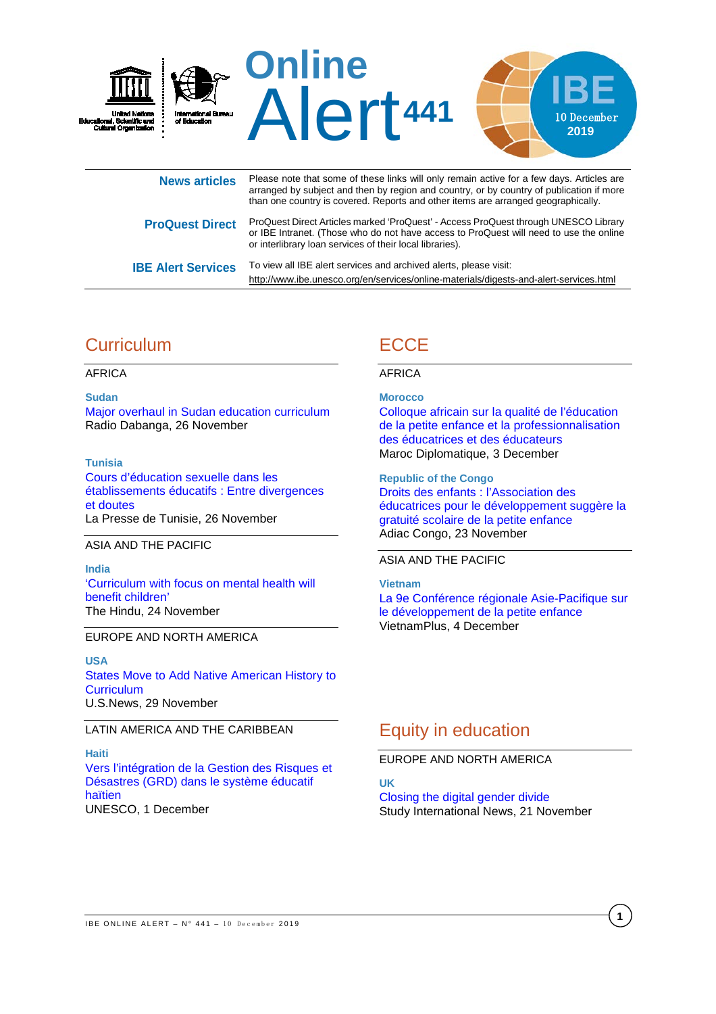

or IBE Intranet. (Those who do not have access to ProQuest will need to use the online or interlibrary loan services of their local libraries). **IBE Alert Services** To view all IBE alert services and archived alerts, please visit:

# **Curriculum**

AFRICA

**Sudan** [Major overhaul in Sudan education curriculum](https://www.dabangasudan.org/en/all-news/article/major-overhaul-in-sudan-education-curriculum) Radio Dabanga, 26 November

**Tunisia** [Cours d'éducation sexuelle dans les](https://lapresse.tn/37109/cours-deducation-sexuelle-dans-les-etablissements-educatifs-entre-divergences-et-doutes/)  [établissements éducatifs : Entre divergences](https://lapresse.tn/37109/cours-deducation-sexuelle-dans-les-etablissements-educatifs-entre-divergences-et-doutes/)  [et doutes](https://lapresse.tn/37109/cours-deducation-sexuelle-dans-les-etablissements-educatifs-entre-divergences-et-doutes/) La Presse de Tunisie, 26 November

#### ASIA AND THE PACIFIC

**India** ['Curriculum with focus on mental health will](https://www.thehindu.com/news/cities/mumbai/curriculum-with-focus-on-mental-health-will-benefit-children/article30064570.ece)  [benefit children'](https://www.thehindu.com/news/cities/mumbai/curriculum-with-focus-on-mental-health-will-benefit-children/article30064570.ece) The Hindu, 24 November

#### EUROPE AND NORTH AMERICA

**USA** [States Move to Add Native American History to](https://www.usnews.com/news/best-states/articles/2019-11-29/states-move-to-add-native-american-history-to-education-curriculum)  **[Curriculum](https://www.usnews.com/news/best-states/articles/2019-11-29/states-move-to-add-native-american-history-to-education-curriculum)** U.S.News, 29 November

#### LATIN AMERICA AND THE CARIBBEAN

**Haiti** [Vers l'intégration de la Gestion des Risques et](https://fr.unesco.org/news/lintegration-gestion-risques-desastres-grd-systeme-educatif-haitien)  [Désastres \(GRD\) dans le système éducatif](https://fr.unesco.org/news/lintegration-gestion-risques-desastres-grd-systeme-educatif-haitien)  [haïtien](https://fr.unesco.org/news/lintegration-gestion-risques-desastres-grd-systeme-educatif-haitien) UNESCO, 1 December

# **ECCE**

<http://www.ibe.unesco.org/en/services/online-materials/digests-and-alert-services.html>

#### AFRICA

**Morocco** [Colloque africain sur la qualité de l'éducation](https://maroc-diplomatique.net/colloque-africain-sur-la-qualite-de-leducation/)  [de la petite enfance et la professionnalisation](https://maroc-diplomatique.net/colloque-africain-sur-la-qualite-de-leducation/)  [des éducatrices et des éducateurs](https://maroc-diplomatique.net/colloque-africain-sur-la-qualite-de-leducation/)

Maroc Diplomatique, 3 December

**Republic of the Congo** [Droits des enfants : l'Association des](http://adiac-congo.com/content/droits-des-enfants-lassociation-des-educatrices-pour-le-developpement-suggere-la-gratuite)  [éducatrices pour le développement suggère la](http://adiac-congo.com/content/droits-des-enfants-lassociation-des-educatrices-pour-le-developpement-suggere-la-gratuite)  [gratuité scolaire de la petite enfance](http://adiac-congo.com/content/droits-des-enfants-lassociation-des-educatrices-pour-le-developpement-suggere-la-gratuite) Adiac Congo, 23 November

#### ASIA AND THE PACIFIC

**Vietnam** [La 9e Conférence régionale Asie-Pacifique sur](https://fr.vietnamplus.vn/la-9e-conference-regionale-asiepacifique-sur-le-developpement-de-la-petite-enfance/130777.vnp)  [le développement de la petite enfance](https://fr.vietnamplus.vn/la-9e-conference-regionale-asiepacifique-sur-le-developpement-de-la-petite-enfance/130777.vnp) VietnamPlus, 4 December

# Equity in education

EUROPE AND NORTH AMERICA

**UK** [Closing the digital gender divide](https://www.studyinternational.com/news/closing-digital-gender-imbalance/) Study International News, 21 November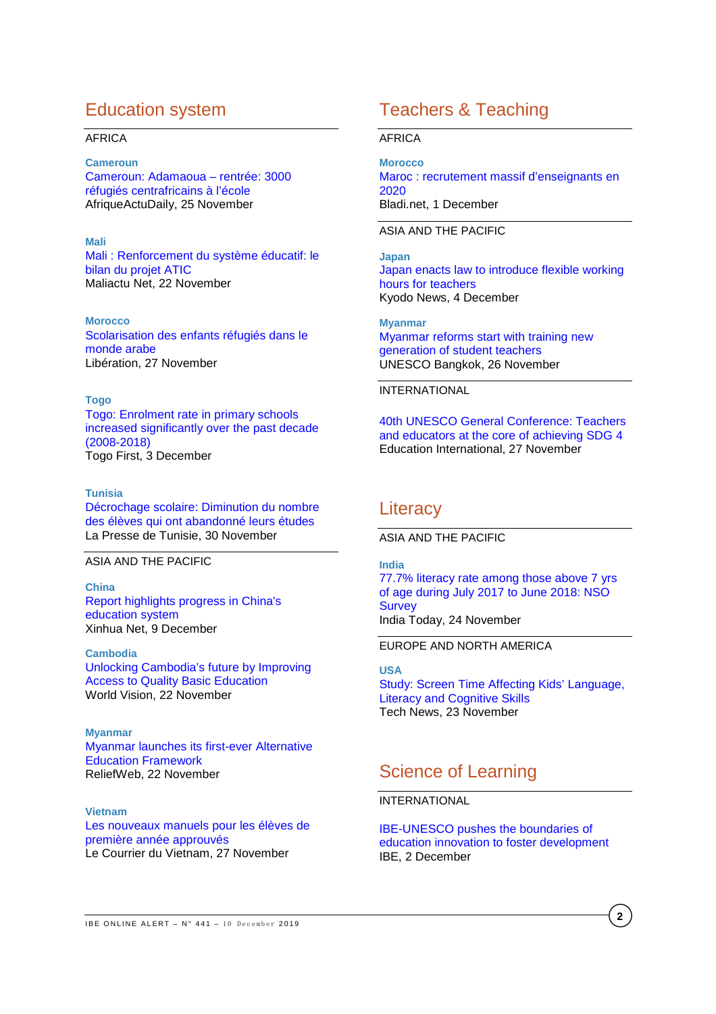# Education system

#### AFRICA

#### **Cameroun**

[Cameroun: Adamaoua –](https://afriqueactudaily.com/index.php/2019/11/25/cameroun-adamaoua-rentree-3000-refugies-centrafricains-a-lecole/) rentrée: 3000 [réfugiés centrafricains à l'école](https://afriqueactudaily.com/index.php/2019/11/25/cameroun-adamaoua-rentree-3000-refugies-centrafricains-a-lecole/) AfriqueActuDaily, 25 November

#### **Mali**

[Mali : Renforcement du système éducatif: le](https://maliactu.net/mali-renforcement-du-systeme-educatif-le-bilan-du-projet-atic/)  [bilan du projet ATIC](https://maliactu.net/mali-renforcement-du-systeme-educatif-le-bilan-du-projet-atic/) Maliactu Net, 22 November

#### **Morocco**

[Scolarisation des enfants réfugiés dans le](https://www.libe.ma/Scolarisation-des-enfants-refugies-dans-le-monde-arabe_a113605.html)  [monde arabe](https://www.libe.ma/Scolarisation-des-enfants-refugies-dans-le-monde-arabe_a113605.html) Libération, 27 November

#### **Togo**

[Togo: Enrolment rate in primary schools](https://www.togofirst.com/en/education/0312-4509-togo-enrolment-rate-in-primary-schools-increased-significantly-over-the-past-decade-2008-2018)  [increased significantly over the past decade](https://www.togofirst.com/en/education/0312-4509-togo-enrolment-rate-in-primary-schools-increased-significantly-over-the-past-decade-2008-2018)  [\(2008-2018\)](https://www.togofirst.com/en/education/0312-4509-togo-enrolment-rate-in-primary-schools-increased-significantly-over-the-past-decade-2008-2018)  Togo First, 3 December

#### **Tunisia**

[Décrochage scolaire: Diminution du nombre](https://lapresse.tn/37832/decrochage-scolaire-diminution-du-nombre-des-eleves-qui-ont-abandonne-leurs-etudes/)  [des élèves qui ont abandonné leurs études](https://lapresse.tn/37832/decrochage-scolaire-diminution-du-nombre-des-eleves-qui-ont-abandonne-leurs-etudes/) La Presse de Tunisie, 30 November

#### ASIA AND THE PACIFIC

**China** [Report highlights progress in China's](http://www.xinhuanet.com/english/2019-12/09/c_138617096.htm)  [education system](http://www.xinhuanet.com/english/2019-12/09/c_138617096.htm) Xinhua Net, 9 December

**Cambodia** [Unlocking Cambodia's future by Improving](https://reliefweb.int/report/cambodia/unlocking-cambodia-s-future-improving-access-quality-basic-education)  [Access to Quality Basic Education](https://reliefweb.int/report/cambodia/unlocking-cambodia-s-future-improving-access-quality-basic-education) World Vision, 22 November

**Myanmar** [Myanmar launches its first-ever Alternative](https://reliefweb.int/report/myanmar/myanmar-launches-its-first-ever-alternative-education-framework)  [Education Framework](https://reliefweb.int/report/myanmar/myanmar-launches-its-first-ever-alternative-education-framework) ReliefWeb, 22 November

#### **Vietnam**

[Les nouveaux manuels pour les élèves de](https://www.lecourrier.vn/les-nouveaux-manuels-pour-les-eleves-de-premiere-annee-approuves/657737.html)  [première année approuvés](https://www.lecourrier.vn/les-nouveaux-manuels-pour-les-eleves-de-premiere-annee-approuves/657737.html) Le Courrier du Vietnam, 27 November

# Teachers & Teaching

#### AFRICA

**Morocco** [Maroc : recrutement massif d'enseignants en](https://www.bladi.net/maroc-recrutement-enseignants,62059.html)  [2020](https://www.bladi.net/maroc-recrutement-enseignants,62059.html) Bladi.net, 1 December

#### ASIA AND THE PACIFIC

**Japan** [Japan enacts law to introduce flexible working](https://english.kyodonews.net/news/2019/12/7814463d30f3-japan-enacts-law-to-introduce-flexible-working-hours-for-teachers.html)  [hours for teachers](https://english.kyodonews.net/news/2019/12/7814463d30f3-japan-enacts-law-to-introduce-flexible-working-hours-for-teachers.html) Kyodo News, 4 December

**Myanmar** [Myanmar reforms start with training new](https://bangkok.unesco.org/content/myanmar-reforms-start-training-new-generation-student-teachers)  [generation of student teachers](https://bangkok.unesco.org/content/myanmar-reforms-start-training-new-generation-student-teachers) UNESCO Bangkok, 26 November

#### INTERNATIONAL

[40th UNESCO General Conference: Teachers](https://www.ei-ie.org/en/detail/16559/40th-unesco-general-conference-teachers-and-educators-at-the-core-of-achieving-sdg-4)  [and educators at the core of achieving SDG 4](https://www.ei-ie.org/en/detail/16559/40th-unesco-general-conference-teachers-and-educators-at-the-core-of-achieving-sdg-4) Education International, 27 November

### **Literacy**

ASIA AND THE PACIFIC

**India**

[77.7% literacy rate among those above 7 yrs](https://www.indiatoday.in/education-today/gk-current-affairs/story/77-7-literacy-rate-among-those-above-7-yrs-of-age-during-july-2017-to-june-2018-nso-survey-1622218-2019-11-24)  [of age during July 2017 to June 2018: NSO](https://www.indiatoday.in/education-today/gk-current-affairs/story/77-7-literacy-rate-among-those-above-7-yrs-of-age-during-july-2017-to-june-2018-nso-survey-1622218-2019-11-24)  **[Survey](https://www.indiatoday.in/education-today/gk-current-affairs/story/77-7-literacy-rate-among-those-above-7-yrs-of-age-during-july-2017-to-june-2018-nso-survey-1622218-2019-11-24)** India Today, 24 November

EUROPE AND NORTH AMERICA

**USA** [Study: Screen Time Affecting Kids' Language,](https://www.myarklamiss.com/news/tech-news/study-screen-time-affecting-kids-language-literacy-and-cognitive-skills/)  [Literacy and Cognitive Skills](https://www.myarklamiss.com/news/tech-news/study-screen-time-affecting-kids-language-literacy-and-cognitive-skills/) Tech News, 23 November

# Science of Learning

#### INTERNATIONAL

[IBE-UNESCO pushes the boundaries of](http://www.ibe.unesco.org/en/news/ibe-unesco-pushes-boundaries-education-innovation-foster-development)  [education innovation to foster development](http://www.ibe.unesco.org/en/news/ibe-unesco-pushes-boundaries-education-innovation-foster-development) IBE, 2 December